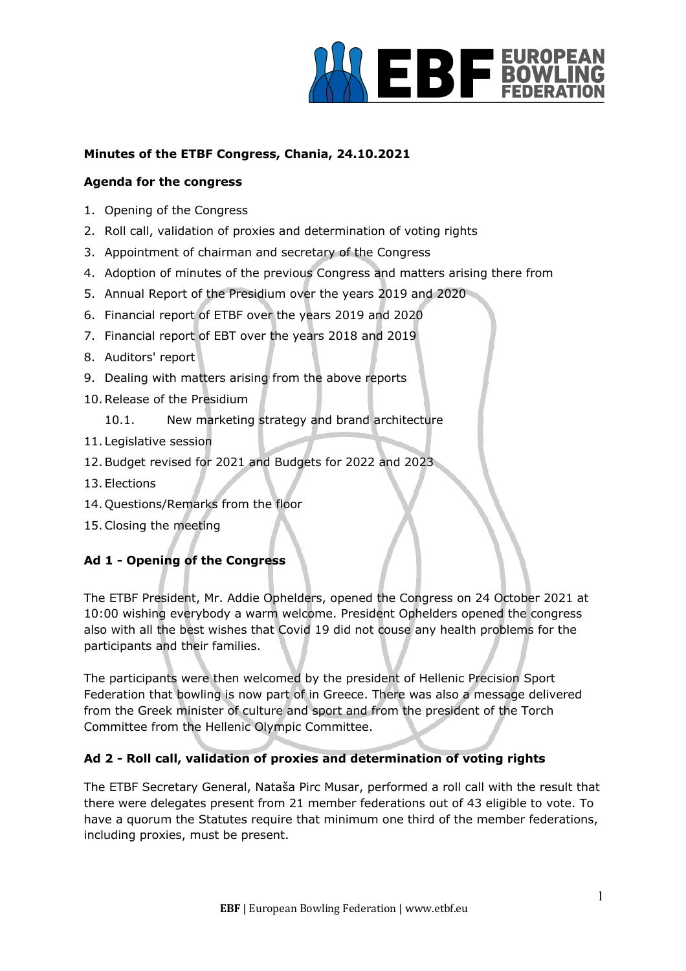

# **Minutes of the ETBF Congress, Chania, 24.10.2021**

# **Agenda for the congress**

- 1. Opening of the Congress
- 2. Roll call, validation of proxies and determination of voting rights
- 3. Appointment of chairman and secretary of the Congress
- 4. Adoption of minutes of the previous Congress and matters arising there from
- 5. Annual Report of the Presidium over the years 2019 and 2020
- 6. Financial report of ETBF over the years 2019 and 2020
- 7. Financial report of EBT over the years 2018 and 2019
- 8. Auditors' report
- 9. Dealing with matters arising from the above reports
- 10.Release of the Presidium
	- 10.1. New marketing strategy and brand architecture
- 11. Legislative session
- 12.Budget revised for 2021 and Budgets for 2022 and 2023
- 13. Elections
- 14. Questions/Remarks from the floor
- 15.Closing the meeting

# **Ad 1 - Opening of the Congress**

The ETBF President, Mr. Addie Ophelders, opened the Congress on 24 October 2021 at 10:00 wishing everybody a warm welcome. President Ophelders opened the congress also with all the best wishes that Covid 19 did not couse any health problems for the participants and their families.

The participants were then welcomed by the president of Hellenic Precision Sport Federation that bowling is now part of in Greece. There was also a message delivered from the Greek minister of culture and sport and from the president of the Torch Committee from the Hellenic Olympic Committee.

# **Ad 2 - Roll call, validation of proxies and determination of voting rights**

The ETBF Secretary General, Nataša Pirc Musar, performed a roll call with the result that there were delegates present from 21 member federations out of 43 eligible to vote. To have a quorum the Statutes require that minimum one third of the member federations, including proxies, must be present.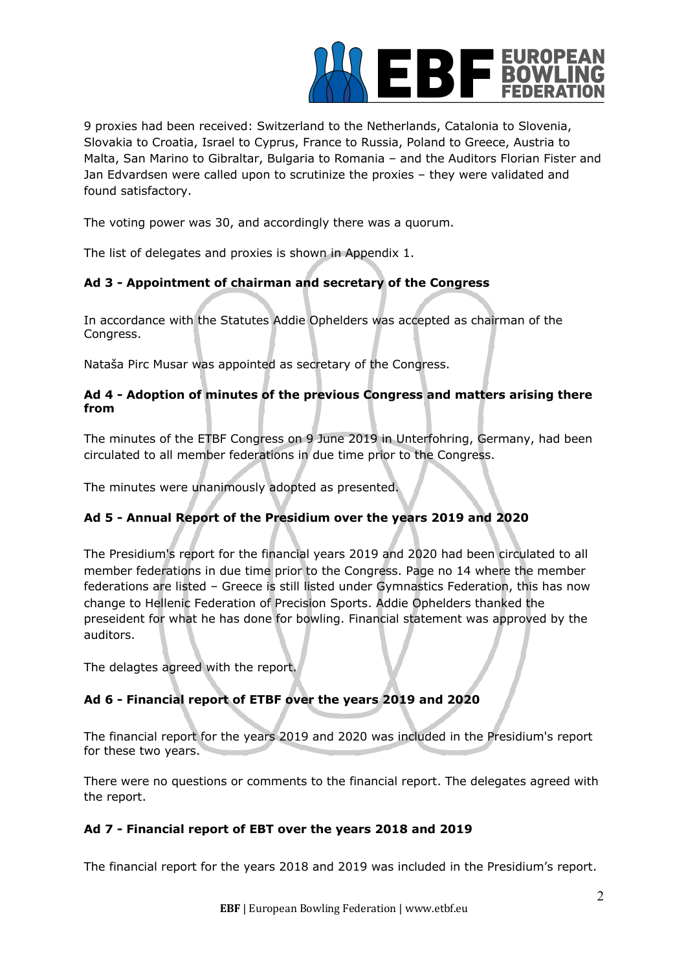

9 proxies had been received: Switzerland to the Netherlands, Catalonia to Slovenia, Slovakia to Croatia, Israel to Cyprus, France to Russia, Poland to Greece, Austria to Malta, San Marino to Gibraltar, Bulgaria to Romania – and the Auditors Florian Fister and Jan Edvardsen were called upon to scrutinize the proxies – they were validated and found satisfactory.

The voting power was 30, and accordingly there was a quorum.

The list of delegates and proxies is shown in Appendix 1.

# **Ad 3 - Appointment of chairman and secretary of the Congress**

In accordance with the Statutes Addie Ophelders was accepted as chairman of the Congress.

Nataša Pirc Musar was appointed as secretary of the Congress.

# **Ad 4 - Adoption of minutes of the previous Congress and matters arising there from**

The minutes of the ETBF Congress on 9 June 2019 in Unterfohring, Germany, had been circulated to all member federations in due time prior to the Congress.

The minutes were unanimously adopted as presented.

# **Ad 5 - Annual Report of the Presidium over the years 2019 and 2020**

The Presidium's report for the financial years 2019 and 2020 had been circulated to all member federations in due time prior to the Congress. Page no 14 where the member federations are listed – Greece is still listed under Gymnastics Federation, this has now change to Hellenic Federation of Precision Sports. Addie Ophelders thanked the preseident for what he has done for bowling. Financial statement was approved by the auditors.

The delagtes agreed with the report.

# **Ad 6 - Financial report of ETBF over the years 2019 and 2020**

The financial report for the years 2019 and 2020 was included in the Presidium's report for these two years.

There were no questions or comments to the financial report. The delegates agreed with the report.

# **Ad 7 - Financial report of EBT over the years 2018 and 2019**

The financial report for the years 2018 and 2019 was included in the Presidium's report.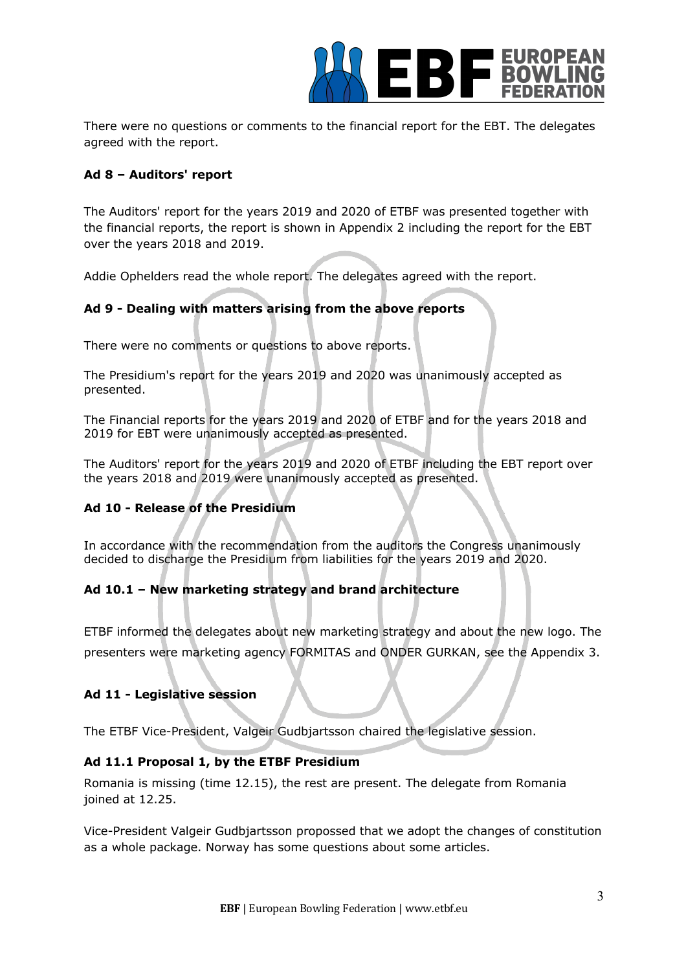

There were no questions or comments to the financial report for the EBT. The delegates agreed with the report.

# **Ad 8 – Auditors' report**

The Auditors' report for the years 2019 and 2020 of ETBF was presented together with the financial reports, the report is shown in Appendix 2 including the report for the EBT over the years 2018 and 2019.

Addie Ophelders read the whole report. The delegates agreed with the report.

# **Ad 9 - Dealing with matters arising from the above reports**

There were no comments or questions to above reports.

The Presidium's report for the years 2019 and 2020 was unanimously accepted as presented.

The Financial reports for the years 2019 and 2020 of ETBF and for the years 2018 and 2019 for EBT were unanimously accepted as presented.

The Auditors' report for the years 2019 and 2020 of ETBF including the EBT report over the years 2018 and 2019 were unanimously accepted as presented.

# **Ad 10 - Release of the Presidium**

In accordance with the recommendation from the auditors the Congress unanimously decided to discharge the Presidium from liabilities for the years 2019 and 2020.

# **Ad 10.1 – New marketing strategy and brand architecture**

ETBF informed the delegates about new marketing strategy and about the new logo. The presenters were marketing agency FORMITAS and ONDER GURKAN, see the Appendix 3.

# **Ad 11 - Legislative session**

The ETBF Vice-President, Valgeir Gudbjartsson chaired the legislative session.

# **Ad 11.1 Proposal 1, by the ETBF Presidium**

Romania is missing (time 12.15), the rest are present. The delegate from Romania joined at 12.25.

Vice-President Valgeir Gudbjartsson propossed that we adopt the changes of constitution as a whole package. Norway has some questions about some articles.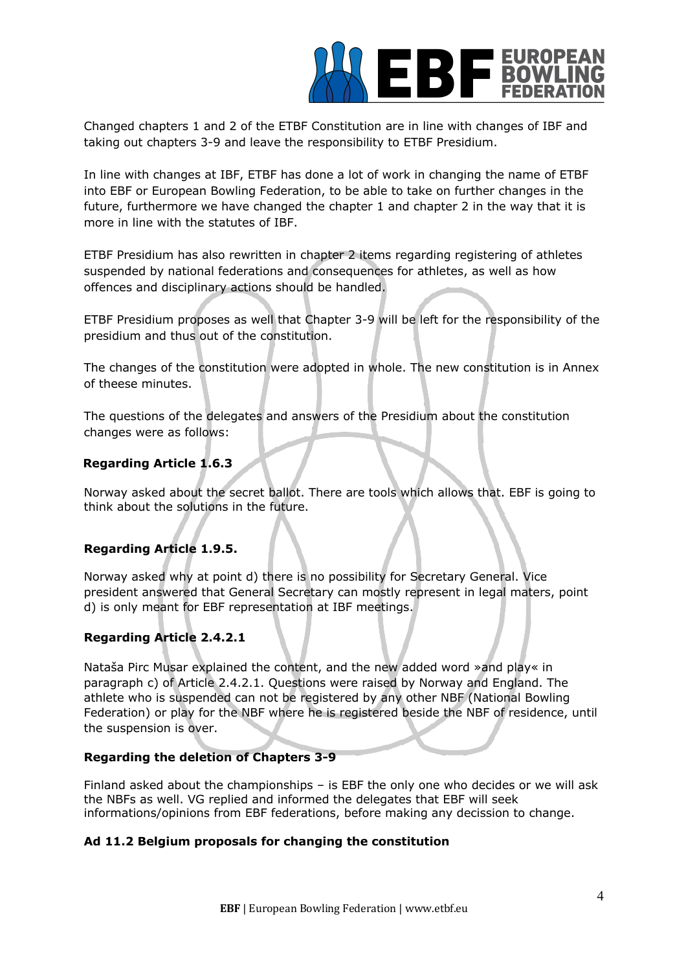

Changed chapters 1 and 2 of the ETBF Constitution are in line with changes of IBF and taking out chapters 3-9 and leave the responsibility to ETBF Presidium.

In line with changes at IBF, ETBF has done a lot of work in changing the name of ETBF into EBF or European Bowling Federation, to be able to take on further changes in the future, furthermore we have changed the chapter 1 and chapter 2 in the way that it is more in line with the statutes of IBF.

ETBF Presidium has also rewritten in chapter 2 items regarding registering of athletes suspended by national federations and consequences for athletes, as well as how offences and disciplinary actions should be handled.

ETBF Presidium proposes as well that Chapter 3-9 will be left for the responsibility of the presidium and thus out of the constitution.

The changes of the constitution were adopted in whole. The new constitution is in Annex of theese minutes.

The questions of the delegates and answers of the Presidium about the constitution changes were as follows:

# **Regarding Article 1.6.3**

Norway asked about the secret ballot. There are tools which allows that. EBF is going to think about the solutions in the future.

# **Regarding Article 1.9.5.**

Norway asked why at point d) there is no possibility for Secretary General. Vice president answered that General Secretary can mostly represent in legal maters, point d) is only meant for EBF representation at IBF meetings.

# **Regarding Article 2.4.2.1**

Nataša Pirc Musar explained the content, and the new added word »and play« in paragraph c) of Article 2.4.2.1. Questions were raised by Norway and England. The athlete who is suspended can not be registered by any other NBF (National Bowling Federation) or play for the NBF where he is registered beside the NBF of residence, until the suspension is over.

# **Regarding the deletion of Chapters 3-9**

Finland asked about the championships – is EBF the only one who decides or we will ask the NBFs as well. VG replied and informed the delegates that EBF will seek informations/opinions from EBF federations, before making any decission to change.

# **Ad 11.2 Belgium proposals for changing the constitution**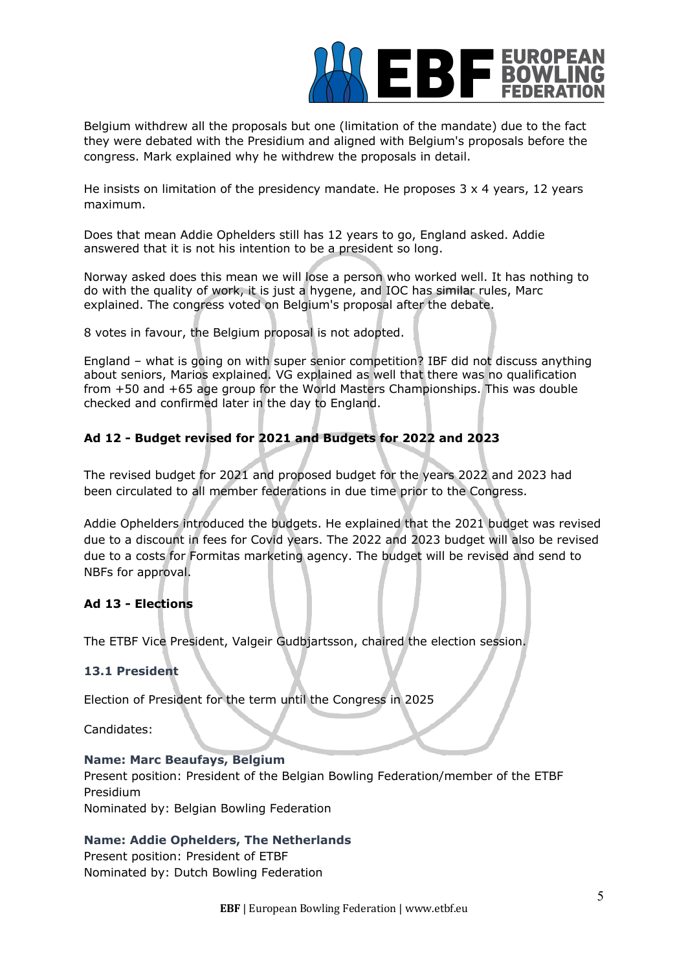

Belgium withdrew all the proposals but one (limitation of the mandate) due to the fact they were debated with the Presidium and aligned with Belgium's proposals before the congress. Mark explained why he withdrew the proposals in detail.

He insists on limitation of the presidency mandate. He proposes  $3 \times 4$  years, 12 years maximum.

Does that mean Addie Ophelders still has 12 years to go, England asked. Addie answered that it is not his intention to be a president so long.

Norway asked does this mean we will lose a person who worked well. It has nothing to do with the quality of work, it is just a hygene, and IOC has similar rules, Marc explained. The congress voted on Belgium's proposal after the debate.

8 votes in favour, the Belgium proposal is not adopted.

England – what is going on with super senior competition? IBF did not discuss anything about seniors, Marios explained. VG explained as well that there was no qualification from +50 and +65 age group for the World Masters Championships. This was double checked and confirmed later in the day to England.

# **Ad 12 - Budget revised for 2021 and Budgets for 2022 and 2023**

The revised budget for 2021 and proposed budget for the years 2022 and 2023 had been circulated to all member federations in due time prior to the Congress.

Addie Ophelders introduced the budgets. He explained that the 2021 budget was revised due to a discount in fees for Covid years. The 2022 and 2023 budget will also be revised due to a costs for Formitas marketing agency. The budget will be revised and send to NBFs for approval.

# **Ad 13 - Elections**

The ETBF Vice President, Valgeir Gudbjartsson, chaired the election session.

# **13.1 President**

Election of President for the term until the Congress in 2025

Candidates:

#### **Name: Marc Beaufays, Belgium**

Present position: President of the Belgian Bowling Federation/member of the ETBF Presidium

Nominated by: Belgian Bowling Federation

# **Name: Addie Ophelders, The Netherlands**

Present position: President of ETBF Nominated by: Dutch Bowling Federation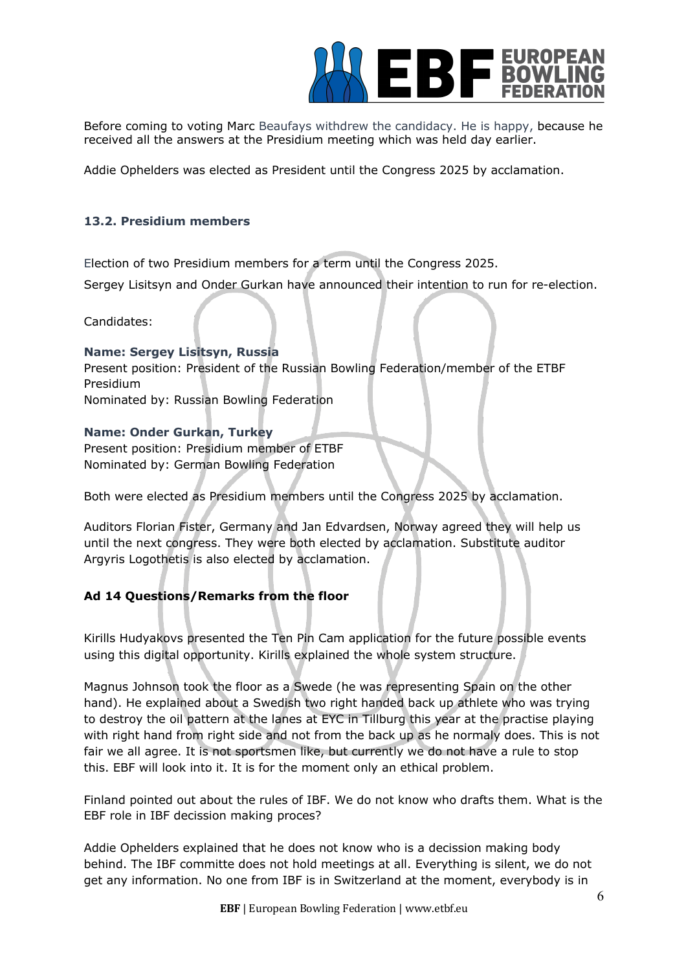

Before coming to voting Marc Beaufays withdrew the candidacy. He is happy, because he received all the answers at the Presidium meeting which was held day earlier.

Addie Ophelders was elected as President until the Congress 2025 by acclamation.

# **13.2. Presidium members**

Election of two Presidium members for a term until the Congress 2025.

Sergey Lisitsyn and Onder Gurkan have announced their intention to run for re-election.

Candidates:

# **Name: Sergey Lisitsyn, Russia**

Present position: President of the Russian Bowling Federation/member of the ETBF Presidium Nominated by: Russian Bowling Federation

# **Name: Onder Gurkan, Turkey**

Present position: Presidium member of ETBF Nominated by: German Bowling Federation

Both were elected as Presidium members until the Congress 2025 by acclamation.

Auditors Florian Fister, Germany and Jan Edvardsen, Norway agreed they will help us until the next congress. They were both elected by acclamation. Substitute auditor Argyris Logothetis is also elected by acclamation.

# **Ad 14 Questions/Remarks from the floor**

Kirills Hudyakovs presented the Ten Pin Cam application for the future possible events using this digital opportunity. Kirills explained the whole system structure.

Magnus Johnson took the floor as a Swede (he was representing Spain on the other hand). He explained about a Swedish two right handed back up athlete who was trying to destroy the oil pattern at the lanes at EYC in Tillburg this year at the practise playing with right hand from right side and not from the back up as he normaly does. This is not fair we all agree. It is not sportsmen like, but currently we do not have a rule to stop this. EBF will look into it. It is for the moment only an ethical problem.

Finland pointed out about the rules of IBF. We do not know who drafts them. What is the EBF role in IBF decission making proces?

Addie Ophelders explained that he does not know who is a decission making body behind. The IBF committe does not hold meetings at all. Everything is silent, we do not get any information. No one from IBF is in Switzerland at the moment, everybody is in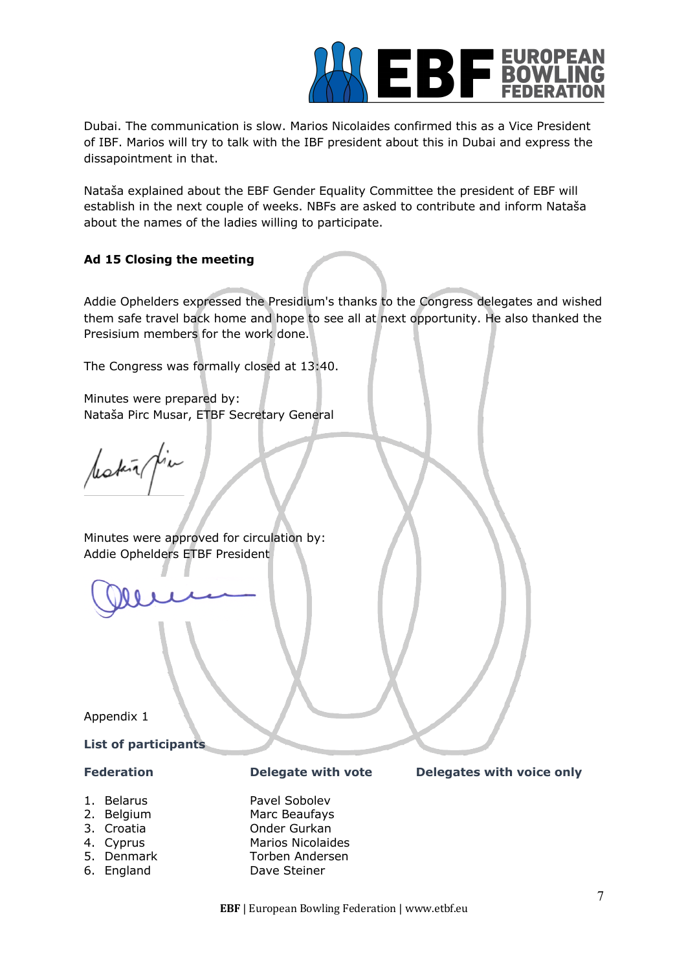

Dubai. The communication is slow. Marios Nicolaides confirmed this as a Vice President of IBF. Marios will try to talk with the IBF president about this in Dubai and express the dissapointment in that.

Nataša explained about the EBF Gender Equality Committee the president of EBF will establish in the next couple of weeks. NBFs are asked to contribute and inform Nataša about the names of the ladies willing to participate.

# **Ad 15 Closing the meeting**

Addie Ophelders expressed the Presidium's thanks to the Congress delegates and wished them safe travel back home and hope to see all at next opportunity. He also thanked the Presisium members for the work done.

The Congress was formally closed at 13:40.

Minutes were prepared by: Nataša Pirc Musar, ETBF Secretary General

lestin pia

Minutes were approved for circulation by: Addie Ophelders ETBF President

Appendix 1

#### **List of participants**

- 
- 
- 
- 
- 
- 

1. Belarus **Pavel Sobolev**<br>2. Belgium **Partic Beaufays** Marc Beaufays 3. Croatia Onder Gurkan 4. Cyprus Marios Nicolaides 5. Denmark Torben Andersen 6. England Dave Steiner

#### **Federation Delegate with vote Delegates with voice only**